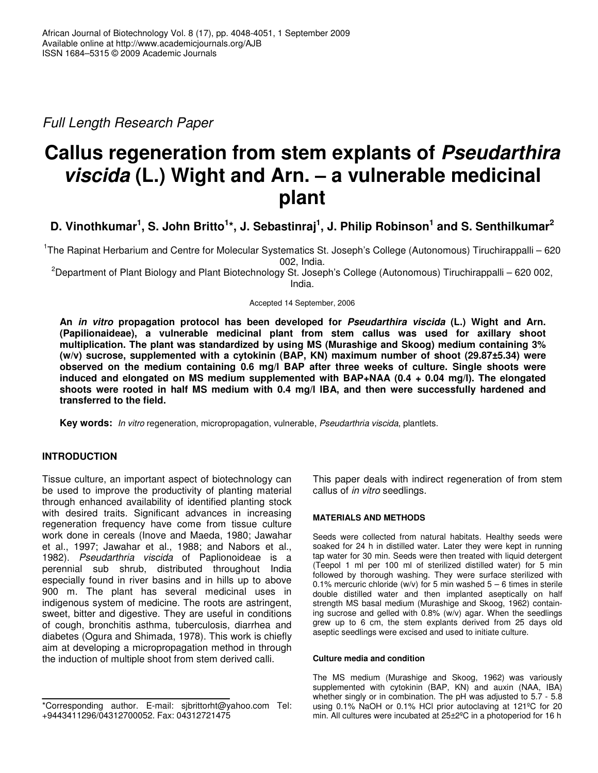*Full Length Research Paper*

# **Callus regeneration from stem explants of** *Pseudarthira viscida* **(L.) Wight and Arn. – a vulnerable medicinal plant**

# D. Vinothkumar<sup>1</sup>, S. John Britto<sup>1</sup>\*, J. Sebastinraj<sup>1</sup>, J. Philip Robinson<sup>1</sup> and S. Senthilkumar<sup>2</sup>

<sup>1</sup>The Rapinat Herbarium and Centre for Molecular Systematics St. Joseph's College (Autonomous) Tiruchirappalli – 620 002, India.

<sup>2</sup>Department of Plant Biology and Plant Biotechnology St. Joseph's College (Autonomous) Tiruchirappalli – 620 002, India.

Accepted 14 September, 2006

**An** *in vitro* **propagation protocol has been developed for** *Pseudarthira viscida* **(L.) Wight and Arn. (Papilionaideae), a vulnerable medicinal plant from stem callus was used for axillary shoot multiplication. The plant was standardized by using MS (Murashige and Skoog) medium containing 3% (w/v) sucrose, supplemented with a cytokinin (BAP, KN) maximum number of shoot (29.87±5.34) were observed on the medium containing 0.6 mg/l BAP after three weeks of culture. Single shoots were induced and elongated on MS medium supplemented with BAP+NAA (0.4 + 0.04 mg/l). The elongated shoots were rooted in half MS medium with 0.4 mg/l IBA, and then were successfully hardened and transferred to the field.**

**Key words:** *In vitro* regeneration, micropropagation, vulnerable, *Pseudarthria viscida*, plantlets.

# **INTRODUCTION**

Tissue culture, an important aspect of biotechnology can be used to improve the productivity of planting material through enhanced availability of identified planting stock with desired traits. Significant advances in increasing regeneration frequency have come from tissue culture work done in cereals (Inove and Maeda, 1980; Jawahar et al., 1997; Jawahar et al., 1988; and Nabors et al., 1982). *Pseudarthria viscida* of Paplionoideae is a perennial sub shrub, distributed throughout India especially found in river basins and in hills up to above 900 m. The plant has several medicinal uses in indigenous system of medicine. The roots are astringent, sweet, bitter and digestive. They are useful in conditions of cough, bronchitis asthma, tuberculosis, diarrhea and diabetes (Ogura and Shimada, 1978). This work is chiefly aim at developing a micropropagation method in through the induction of multiple shoot from stem derived calli.

This paper deals with indirect regeneration of from stem callus of *in vitro* seedlings.

### **MATERIALS AND METHODS**

Seeds were collected from natural habitats. Healthy seeds were soaked for 24 h in distilled water. Later they were kept in running tap water for 30 min. Seeds were then treated with liquid detergent (Teepol 1 ml per 100 ml of sterilized distilled water) for 5 min followed by thorough washing. They were surface sterilized with 0.1% mercuric chloride (w/v) for 5 min washed  $5 - 6$  times in sterile double distilled water and then implanted aseptically on half strength MS basal medium (Murashige and Skoog, 1962) containing sucrose and gelled with 0.8% (w/v) agar. When the seedlings grew up to 6 cm, the stem explants derived from 25 days old aseptic seedlings were excised and used to initiate culture.

#### **Culture media and condition**

The MS medium (Murashige and Skoog, 1962) was variously supplemented with cytokinin (BAP, KN) and auxin (NAA, IBA) whether singly or in combination. The pH was adjusted to 5.7 - 5.8 using 0.1% NaOH or 0.1% HCl prior autoclaving at 121ºC for 20 min. All cultures were incubated at 25±2ºC in a photoperiod for 16 h

<sup>\*</sup>Corresponding author. E-mail: sjbrittorht@yahoo.com Tel: +9443411296/04312700052. Fax: 04312721475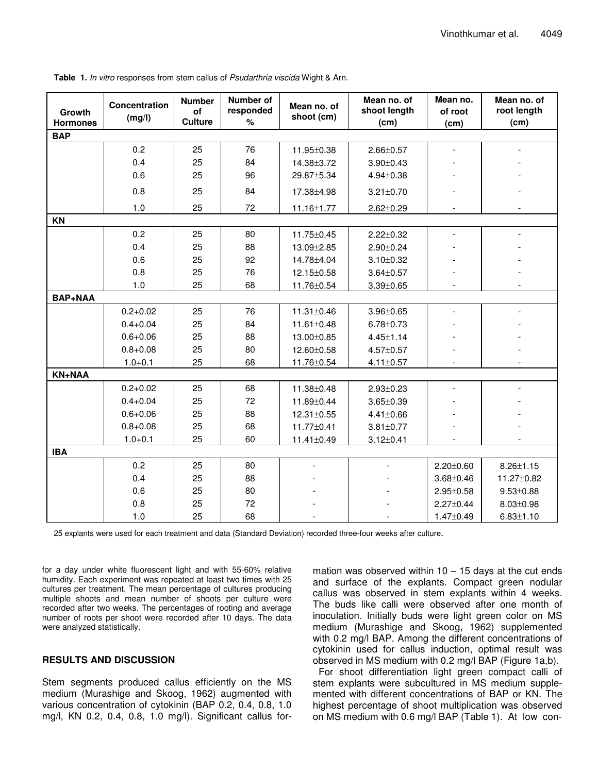| Growth<br><b>Hormones</b> | Concentration<br>(mg/l) | <b>Number</b><br>of<br><b>Culture</b> | Number of<br>responded<br>$\%$ | Mean no. of<br>shoot (cm) | Mean no. of<br>shoot length<br>(cm) | Mean no.<br>of root<br>(cm) | Mean no. of<br>root length<br>(cm) |
|---------------------------|-------------------------|---------------------------------------|--------------------------------|---------------------------|-------------------------------------|-----------------------------|------------------------------------|
| <b>BAP</b>                |                         |                                       |                                |                           |                                     |                             |                                    |
|                           | 0.2                     | 25                                    | 76                             | 11.95±0.38                | $2.66 \pm 0.57$                     |                             |                                    |
|                           | 0.4                     | 25                                    | 84                             | 14.38±3.72                | $3.90 \pm 0.43$                     |                             |                                    |
|                           | 0.6                     | 25                                    | 96                             | 29.87±5.34                | $4.94 \pm 0.38$                     |                             |                                    |
|                           | 0.8                     | 25                                    | 84                             | 17.38±4.98                | $3.21 \pm 0.70$                     |                             |                                    |
|                           | 1.0                     | 25                                    | 72                             | 11.16±1.77                | $2.62 \pm 0.29$                     |                             |                                    |
| KN                        |                         |                                       |                                |                           |                                     |                             |                                    |
|                           | 0.2                     | 25                                    | 80                             | 11.75±0.45                | $2.22 \pm 0.32$                     |                             |                                    |
|                           | 0.4                     | 25                                    | 88                             | 13.09±2.85                | $2.90 \pm 0.24$                     |                             |                                    |
|                           | 0.6                     | 25                                    | 92                             | 14.78±4.04                | $3.10 \pm 0.32$                     |                             |                                    |
|                           | 0.8                     | 25                                    | 76                             | 12.15±0.58                | $3.64 \pm 0.57$                     |                             |                                    |
|                           | 1.0                     | 25                                    | 68                             | 11.76±0.54                | $3.39 \pm 0.65$                     |                             |                                    |
| <b>BAP+NAA</b>            |                         |                                       |                                |                           |                                     |                             |                                    |
|                           | $0.2 + 0.02$            | 25                                    | 76                             | 11.31±0.46                | $3.96 \pm 0.65$                     |                             |                                    |
|                           | $0.4 + 0.04$            | 25                                    | 84                             | 11.61±0.48                | $6.78 \pm 0.73$                     |                             |                                    |
|                           | $0.6 + 0.06$            | 25                                    | 88                             | 13.00±0.85                | $4.45 \pm 1.14$                     |                             |                                    |
|                           | $0.8 + 0.08$            | 25                                    | 80                             | 12.60±0.58                | 4.57±0.57                           |                             |                                    |
|                           | $1.0 + 0.1$             | 25                                    | 68                             | 11.76±0.54                | $4.11 \pm 0.57$                     |                             |                                    |
| <b>KN+NAA</b>             |                         |                                       |                                |                           |                                     |                             |                                    |
|                           | $0.2 + 0.02$            | 25                                    | 68                             | 11.38±0.48                | $2.93 \pm 0.23$                     | $\blacksquare$              |                                    |
|                           | $0.4 + 0.04$            | 25                                    | 72                             | 11.89±0.44                | $3.65 \pm 0.39$                     |                             |                                    |
|                           | $0.6 + 0.06$            | 25                                    | 88                             | 12.31±0.55                | $4.41 \pm 0.66$                     |                             |                                    |
|                           | $0.8 + 0.08$            | 25                                    | 68                             | 11.77±0.41                | $3.81 \pm 0.77$                     |                             |                                    |
|                           | $1.0 + 0.1$             | 25                                    | 60                             | 11.41±0.49                | $3.12 \pm 0.41$                     |                             |                                    |
| <b>IBA</b>                |                         |                                       |                                |                           |                                     |                             |                                    |
|                           | 0.2                     | 25                                    | 80                             |                           |                                     | $2.20 \pm 0.60$             | $8.26 \pm 1.15$                    |
|                           | 0.4                     | 25                                    | 88                             |                           |                                     | $3.68 \pm 0.46$             | 11.27±0.82                         |
|                           | 0.6                     | 25                                    | 80                             |                           |                                     | $2.95 \pm 0.58$             | $9.53 \pm 0.88$                    |
|                           | 0.8                     | 25                                    | 72                             |                           |                                     | $2.27 \pm 0.44$             | $8.03 \pm 0.98$                    |
|                           | 1.0                     | 25                                    | 68                             |                           |                                     | $1.47 \pm 0.49$             | $6.83 \pm 1.10$                    |

**Table 1.** *In vitro* responses from stem callus of *Psudarthria viscida* Wight & Arn.

25 explants were used for each treatment and data (Standard Deviation) recorded three-four weeks after culture.

for a day under white fluorescent light and with 55-60% relative humidity. Each experiment was repeated at least two times with 25 cultures per treatment. The mean percentage of cultures producing multiple shoots and mean number of shoots per culture were recorded after two weeks. The percentages of rooting and average number of roots per shoot were recorded after 10 days. The data were analyzed statistically.

# **RESULTS AND DISCUSSION**

Stem segments produced callus efficiently on the MS medium (Murashige and Skoog, 1962) augmented with various concentration of cytokinin (BAP 0.2, 0.4, 0.8, 1.0 mg/l, KN 0.2, 0.4, 0.8, 1.0 mg/l). Significant callus for-

mation was observed within  $10 - 15$  days at the cut ends and surface of the explants. Compact green nodular callus was observed in stem explants within 4 weeks. The buds like calli were observed after one month of inoculation. Initially buds were light green color on MS medium (Murashige and Skoog, 1962) supplemented with 0.2 mg/l BAP. Among the different concentrations of cytokinin used for callus induction, optimal result was observed in MS medium with 0.2 mg/l BAP (Figure 1a,b).

For shoot differentiation light green compact calli of stem explants were subcultured in MS medium supplemented with different concentrations of BAP or KN. The highest percentage of shoot multiplication was observed on MS medium with 0.6 mg/l BAP (Table 1). At low con-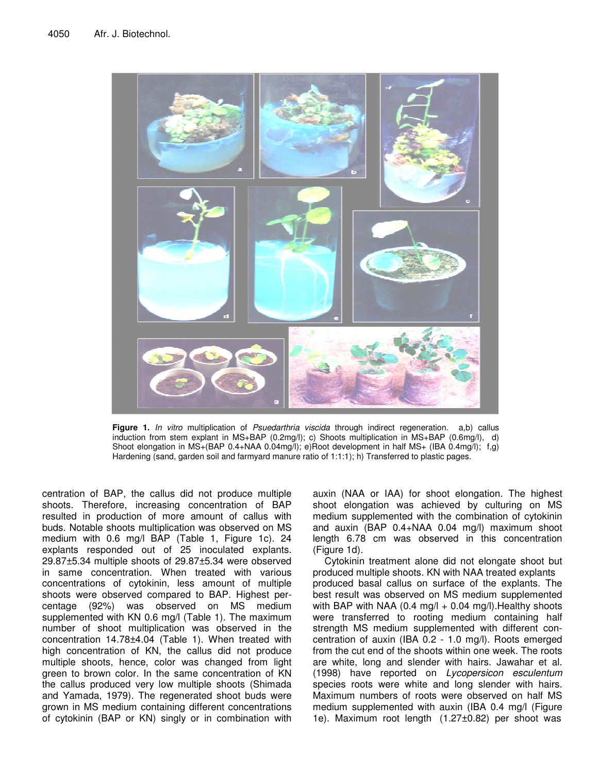

**Figure 1.** *In vitro* multiplication of *Psuedarthria viscida* through indirect regeneration. a,b) callus induction from stem explant in MS+BAP (0.2mg/l); c) Shoots multiplication in MS+BAP (0.6mg/l), d) Shoot elongation in MS+(BAP 0.4+NAA 0.04mg/l); e)Root development in half MS+ (IBA 0.4mg/l); f,g) Hardening (sand, garden soil and farmyard manure ratio of 1:1:1); h) Transferred to plastic pages.

centration of BAP, the callus did not produce multiple shoots. Therefore, increasing concentration of BAP resulted in production of more amount of callus with buds. Notable shoots multiplication was observed on MS medium with 0.6 mg/l BAP (Table 1, Figure 1c). 24 explants responded out of 25 inoculated explants. 29.87±5.34 multiple shoots of 29.87±5.34 were observed in same concentration. When treated with various concentrations of cytokinin, less amount of multiple shoots were observed compared to BAP. Highest percentage (92%) was observed on MS medium supplemented with KN 0.6 mg/l (Table 1). The maximum number of shoot multiplication was observed in the concentration 14.78±4.04 (Table 1). When treated with high concentration of KN, the callus did not produce multiple shoots, hence, color was changed from light green to brown color. In the same concentration of KN the callus produced very low multiple shoots (Shimada and Yamada, 1979). The regenerated shoot buds were grown in MS medium containing different concentrations of cytokinin (BAP or KN) singly or in combination with auxin (NAA or IAA) for shoot elongation. The highest shoot elongation was achieved by culturing on MS medium supplemented with the combination of cytokinin and auxin (BAP 0.4+NAA 0.04 mg/l) maximum shoot length 6.78 cm was observed in this concentration (Figure 1d).

Cytokinin treatment alone did not elongate shoot but produced multiple shoots. KN with NAA treated explants produced basal callus on surface of the explants. The best result was observed on MS medium supplemented with BAP with NAA (0.4 mg/l  $+$  0.04 mg/l). Healthy shoots were transferred to rooting medium containing half strength MS medium supplemented with different concentration of auxin (IBA 0.2 - 1.0 mg/l). Roots emerged from the cut end of the shoots within one week. The roots are white, long and slender with hairs. Jawahar et al. (1998) have reported on *Lycopersicon esculentum* species roots were white and long slender with hairs. Maximum numbers of roots were observed on half MS medium supplemented with auxin (IBA 0.4 mg/l (Figure 1e). Maximum root length (1.27±0.82) per shoot was